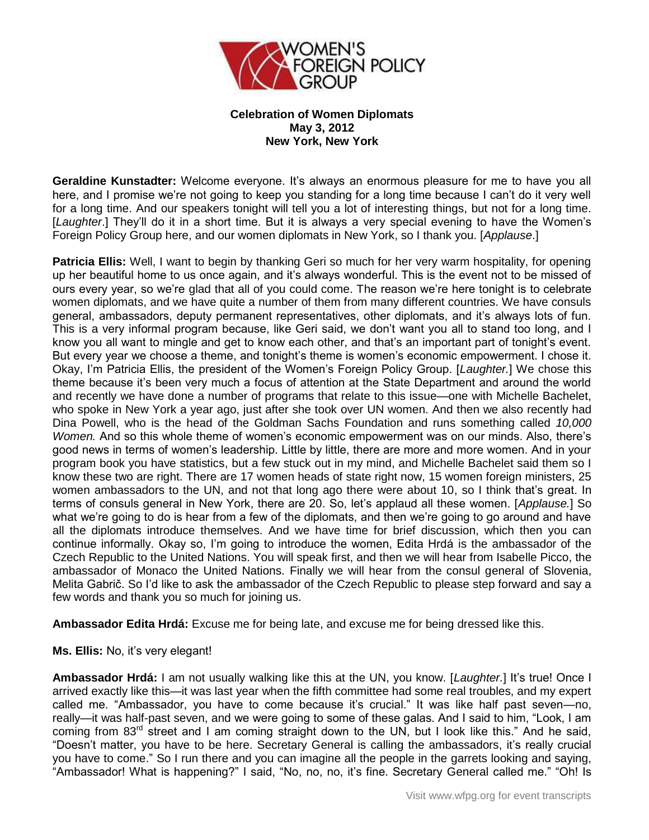

## **Celebration of Women Diplomats May 3, 2012 New York, New York**

**Geraldine Kunstadter:** Welcome everyone. It's always an enormous pleasure for me to have you all here, and I promise we're not going to keep you standing for a long time because I can't do it very well for a long time. And our speakers tonight will tell you a lot of interesting things, but not for a long time. [*Laughter*.] They'll do it in a short time. But it is always a very special evening to have the Women's Foreign Policy Group here, and our women diplomats in New York, so I thank you. [*Applause*.]

**Patricia Ellis:** Well, I want to begin by thanking Geri so much for her very warm hospitality, for opening up her beautiful home to us once again, and it's always wonderful. This is the event not to be missed of ours every year, so we're glad that all of you could come. The reason we're here tonight is to celebrate women diplomats, and we have quite a number of them from many different countries. We have consuls general, ambassadors, deputy permanent representatives, other diplomats, and it's always lots of fun. This is a very informal program because, like Geri said, we don't want you all to stand too long, and I know you all want to mingle and get to know each other, and that's an important part of tonight's event. But every year we choose a theme, and tonight's theme is women's economic empowerment. I chose it. Okay, I'm Patricia Ellis, the president of the Women's Foreign Policy Group. [*Laughter.*] We chose this theme because it's been very much a focus of attention at the State Department and around the world and recently we have done a number of programs that relate to this issue—one with Michelle Bachelet, who spoke in New York a year ago, just after she took over UN women. And then we also recently had Dina Powell, who is the head of the Goldman Sachs Foundation and runs something called *10,000 Women.* And so this whole theme of women's economic empowerment was on our minds. Also, there's good news in terms of women's leadership. Little by little, there are more and more women. And in your program book you have statistics, but a few stuck out in my mind, and Michelle Bachelet said them so I know these two are right. There are 17 women heads of state right now, 15 women foreign ministers, 25 women ambassadors to the UN, and not that long ago there were about 10, so I think that's great. In terms of consuls general in New York, there are 20. So, let's applaud all these women. [*Applause.*] So what we're going to do is hear from a few of the diplomats, and then we're going to go around and have all the diplomats introduce themselves. And we have time for brief discussion, which then you can continue informally. Okay so, I'm going to introduce the women, Edita Hrdá is the ambassador of the Czech Republic to the United Nations. You will speak first, and then we will hear from Isabelle Picco, the ambassador of Monaco the United Nations. Finally we will hear from the consul general of Slovenia, Melita Gabrič. So I'd like to ask the ambassador of the Czech Republic to please step forward and say a few words and thank you so much for joining us.

**Ambassador Edita Hrdá:** Excuse me for being late, and excuse me for being dressed like this.

## **Ms. Ellis:** No, it's very elegant!

**Ambassador Hrdá:** I am not usually walking like this at the UN, you know. [*Laughter.*] It's true! Once I arrived exactly like this—it was last year when the fifth committee had some real troubles, and my expert called me. "Ambassador, you have to come because it's crucial." It was like half past seven—no, really—it was half-past seven, and we were going to some of these galas. And I said to him, "Look, I am coming from  $83<sup>rd</sup>$  street and I am coming straight down to the UN, but I look like this." And he said, "Doesn't matter, you have to be here. Secretary General is calling the ambassadors, it's really crucial you have to come." So I run there and you can imagine all the people in the garrets looking and saying, "Ambassador! What is happening?" I said, "No, no, no, it's fine. Secretary General called me." "Oh! Is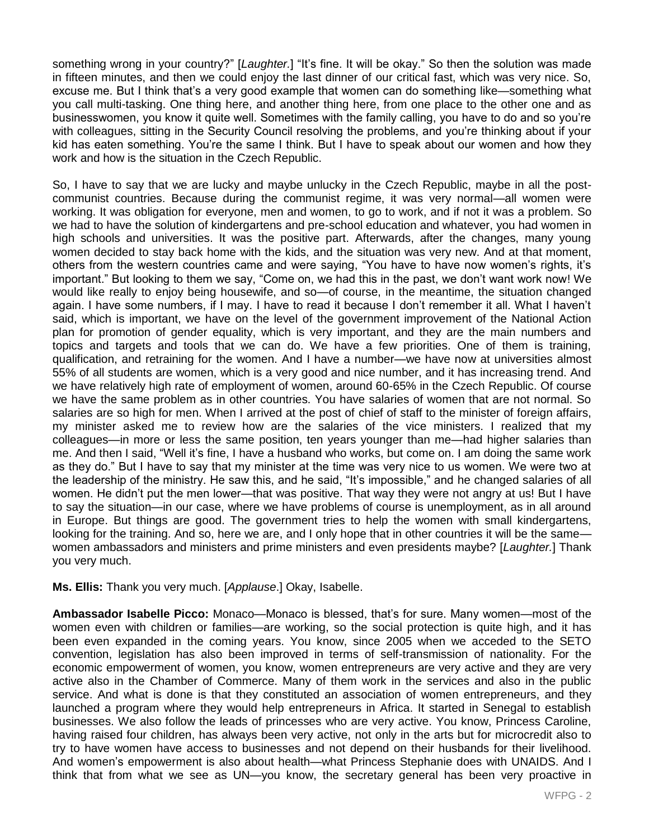something wrong in your country?" [*Laughter.*] "It's fine. It will be okay." So then the solution was made in fifteen minutes, and then we could enjoy the last dinner of our critical fast, which was very nice. So, excuse me. But I think that's a very good example that women can do something like—something what you call multi-tasking. One thing here, and another thing here, from one place to the other one and as businesswomen, you know it quite well. Sometimes with the family calling, you have to do and so you're with colleagues, sitting in the Security Council resolving the problems, and you're thinking about if your kid has eaten something. You're the same I think. But I have to speak about our women and how they work and how is the situation in the Czech Republic.

So, I have to say that we are lucky and maybe unlucky in the Czech Republic, maybe in all the postcommunist countries. Because during the communist regime, it was very normal—all women were working. It was obligation for everyone, men and women, to go to work, and if not it was a problem. So we had to have the solution of kindergartens and pre-school education and whatever, you had women in high schools and universities. It was the positive part. Afterwards, after the changes, many young women decided to stay back home with the kids, and the situation was very new. And at that moment, others from the western countries came and were saying, "You have to have now women's rights, it's important." But looking to them we say, "Come on, we had this in the past, we don't want work now! We would like really to enjoy being housewife, and so—of course, in the meantime, the situation changed again. I have some numbers, if I may. I have to read it because I don't remember it all. What I haven't said, which is important, we have on the level of the government improvement of the National Action plan for promotion of gender equality, which is very important, and they are the main numbers and topics and targets and tools that we can do. We have a few priorities. One of them is training, qualification, and retraining for the women. And I have a number—we have now at universities almost 55% of all students are women, which is a very good and nice number, and it has increasing trend. And we have relatively high rate of employment of women, around 60-65% in the Czech Republic. Of course we have the same problem as in other countries. You have salaries of women that are not normal. So salaries are so high for men. When I arrived at the post of chief of staff to the minister of foreign affairs, my minister asked me to review how are the salaries of the vice ministers. I realized that my colleagues—in more or less the same position, ten years younger than me—had higher salaries than me. And then I said, "Well it's fine, I have a husband who works, but come on. I am doing the same work as they do." But I have to say that my minister at the time was very nice to us women. We were two at the leadership of the ministry. He saw this, and he said, "It's impossible," and he changed salaries of all women. He didn't put the men lower—that was positive. That way they were not angry at us! But I have to say the situation—in our case, where we have problems of course is unemployment, as in all around in Europe. But things are good. The government tries to help the women with small kindergartens, looking for the training. And so, here we are, and I only hope that in other countries it will be the same women ambassadors and ministers and prime ministers and even presidents maybe? [*Laughter.*] Thank you very much.

**Ms. Ellis:** Thank you very much. [*Applause*.] Okay, Isabelle.

**Ambassador Isabelle Picco:** Monaco—Monaco is blessed, that's for sure. Many women—most of the women even with children or families—are working, so the social protection is quite high, and it has been even expanded in the coming years. You know, since 2005 when we acceded to the SETO convention, legislation has also been improved in terms of self-transmission of nationality. For the economic empowerment of women, you know, women entrepreneurs are very active and they are very active also in the Chamber of Commerce. Many of them work in the services and also in the public service. And what is done is that they constituted an association of women entrepreneurs, and they launched a program where they would help entrepreneurs in Africa. It started in Senegal to establish businesses. We also follow the leads of princesses who are very active. You know, Princess Caroline, having raised four children, has always been very active, not only in the arts but for microcredit also to try to have women have access to businesses and not depend on their husbands for their livelihood. And women's empowerment is also about health—what Princess Stephanie does with UNAIDS. And I think that from what we see as UN—you know, the secretary general has been very proactive in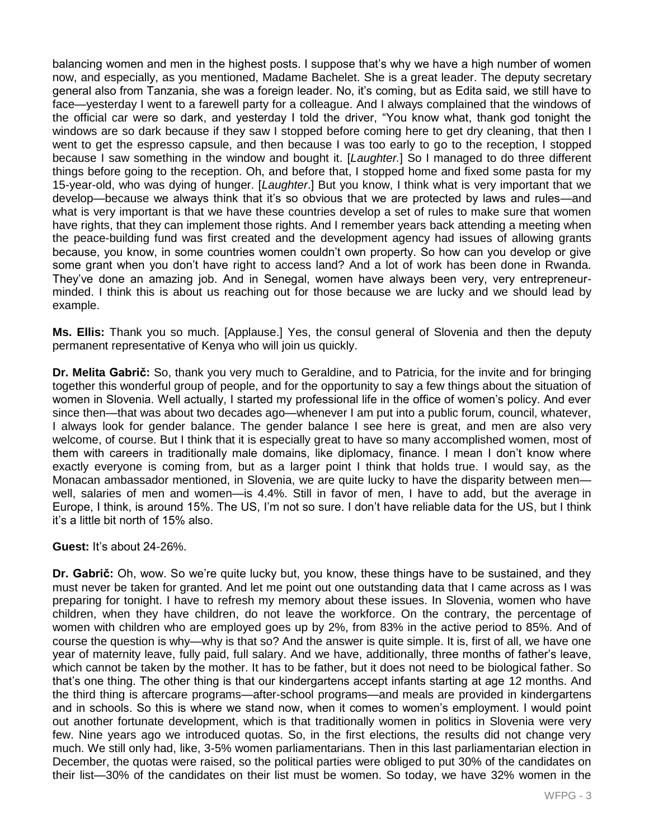balancing women and men in the highest posts. I suppose that's why we have a high number of women now, and especially, as you mentioned, Madame Bachelet. She is a great leader. The deputy secretary general also from Tanzania, she was a foreign leader. No, it's coming, but as Edita said, we still have to face—yesterday I went to a farewell party for a colleague. And I always complained that the windows of the official car were so dark, and yesterday I told the driver, "You know what, thank god tonight the windows are so dark because if they saw I stopped before coming here to get dry cleaning, that then I went to get the espresso capsule, and then because I was too early to go to the reception, I stopped because I saw something in the window and bought it. [*Laughter.*] So I managed to do three different things before going to the reception. Oh, and before that, I stopped home and fixed some pasta for my 15-year-old, who was dying of hunger. [*Laughter*.] But you know, I think what is very important that we develop—because we always think that it's so obvious that we are protected by laws and rules—and what is very important is that we have these countries develop a set of rules to make sure that women have rights, that they can implement those rights. And I remember years back attending a meeting when the peace-building fund was first created and the development agency had issues of allowing grants because, you know, in some countries women couldn't own property. So how can you develop or give some grant when you don't have right to access land? And a lot of work has been done in Rwanda. They've done an amazing job. And in Senegal, women have always been very, very entrepreneurminded. I think this is about us reaching out for those because we are lucky and we should lead by example.

**Ms. Ellis:** Thank you so much. [Applause.] Yes, the consul general of Slovenia and then the deputy permanent representative of Kenya who will join us quickly.

**Dr. Melita Gabrič:** So, thank you very much to Geraldine, and to Patricia, for the invite and for bringing together this wonderful group of people, and for the opportunity to say a few things about the situation of women in Slovenia. Well actually, I started my professional life in the office of women's policy. And ever since then—that was about two decades ago—whenever I am put into a public forum, council, whatever, I always look for gender balance. The gender balance I see here is great, and men are also very welcome, of course. But I think that it is especially great to have so many accomplished women, most of them with careers in traditionally male domains, like diplomacy, finance. I mean I don't know where exactly everyone is coming from, but as a larger point I think that holds true. I would say, as the Monacan ambassador mentioned, in Slovenia, we are quite lucky to have the disparity between men well, salaries of men and women—is 4.4%. Still in favor of men, I have to add, but the average in Europe, I think, is around 15%. The US, I'm not so sure. I don't have reliable data for the US, but I think it's a little bit north of 15% also.

**Guest:** It's about 24-26%.

**Dr. Gabrič:** Oh, wow. So we're quite lucky but, you know, these things have to be sustained, and they must never be taken for granted. And let me point out one outstanding data that I came across as I was preparing for tonight. I have to refresh my memory about these issues. In Slovenia, women who have children, when they have children, do not leave the workforce. On the contrary, the percentage of women with children who are employed goes up by 2%, from 83% in the active period to 85%. And of course the question is why—why is that so? And the answer is quite simple. It is, first of all, we have one year of maternity leave, fully paid, full salary. And we have, additionally, three months of father's leave, which cannot be taken by the mother. It has to be father, but it does not need to be biological father. So that's one thing. The other thing is that our kindergartens accept infants starting at age 12 months. And the third thing is aftercare programs—after-school programs—and meals are provided in kindergartens and in schools. So this is where we stand now, when it comes to women's employment. I would point out another fortunate development, which is that traditionally women in politics in Slovenia were very few. Nine years ago we introduced quotas. So, in the first elections, the results did not change very much. We still only had, like, 3-5% women parliamentarians. Then in this last parliamentarian election in December, the quotas were raised, so the political parties were obliged to put 30% of the candidates on their list—30% of the candidates on their list must be women. So today, we have 32% women in the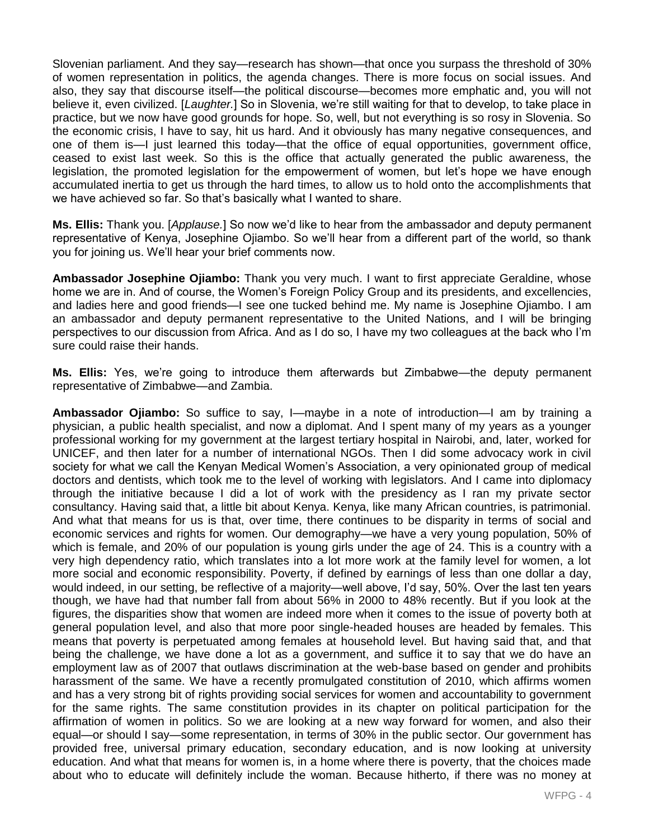Slovenian parliament. And they say—research has shown—that once you surpass the threshold of 30% of women representation in politics, the agenda changes. There is more focus on social issues. And also, they say that discourse itself—the political discourse—becomes more emphatic and, you will not believe it, even civilized. [*Laughter.*] So in Slovenia, we're still waiting for that to develop, to take place in practice, but we now have good grounds for hope. So, well, but not everything is so rosy in Slovenia. So the economic crisis, I have to say, hit us hard. And it obviously has many negative consequences, and one of them is—I just learned this today—that the office of equal opportunities, government office, ceased to exist last week. So this is the office that actually generated the public awareness, the legislation, the promoted legislation for the empowerment of women, but let's hope we have enough accumulated inertia to get us through the hard times, to allow us to hold onto the accomplishments that we have achieved so far. So that's basically what I wanted to share.

**Ms. Ellis:** Thank you. [*Applause.*] So now we'd like to hear from the ambassador and deputy permanent representative of Kenya, Josephine Ojiambo. So we'll hear from a different part of the world, so thank you for joining us. We'll hear your brief comments now.

**Ambassador Josephine Ojiambo:** Thank you very much. I want to first appreciate Geraldine, whose home we are in. And of course, the Women's Foreign Policy Group and its presidents, and excellencies, and ladies here and good friends—I see one tucked behind me. My name is Josephine Ojiambo. I am an ambassador and deputy permanent representative to the United Nations, and I will be bringing perspectives to our discussion from Africa. And as I do so, I have my two colleagues at the back who I'm sure could raise their hands.

**Ms. Ellis:** Yes, we're going to introduce them afterwards but Zimbabwe—the deputy permanent representative of Zimbabwe—and Zambia.

**Ambassador Ojiambo:** So suffice to say, I—maybe in a note of introduction—I am by training a physician, a public health specialist, and now a diplomat. And I spent many of my years as a younger professional working for my government at the largest tertiary hospital in Nairobi, and, later, worked for UNICEF, and then later for a number of international NGOs. Then I did some advocacy work in civil society for what we call the Kenyan Medical Women's Association, a very opinionated group of medical doctors and dentists, which took me to the level of working with legislators. And I came into diplomacy through the initiative because I did a lot of work with the presidency as I ran my private sector consultancy. Having said that, a little bit about Kenya. Kenya, like many African countries, is patrimonial. And what that means for us is that, over time, there continues to be disparity in terms of social and economic services and rights for women. Our demography—we have a very young population, 50% of which is female, and 20% of our population is young girls under the age of 24. This is a country with a very high dependency ratio, which translates into a lot more work at the family level for women, a lot more social and economic responsibility. Poverty, if defined by earnings of less than one dollar a day, would indeed, in our setting, be reflective of a majority—well above, I'd say, 50%. Over the last ten years though, we have had that number fall from about 56% in 2000 to 48% recently. But if you look at the figures, the disparities show that women are indeed more when it comes to the issue of poverty both at general population level, and also that more poor single-headed houses are headed by females. This means that poverty is perpetuated among females at household level. But having said that, and that being the challenge, we have done a lot as a government, and suffice it to say that we do have an employment law as of 2007 that outlaws discrimination at the web-base based on gender and prohibits harassment of the same. We have a recently promulgated constitution of 2010, which affirms women and has a very strong bit of rights providing social services for women and accountability to government for the same rights. The same constitution provides in its chapter on political participation for the affirmation of women in politics. So we are looking at a new way forward for women, and also their equal—or should I say—some representation, in terms of 30% in the public sector. Our government has provided free, universal primary education, secondary education, and is now looking at university education. And what that means for women is, in a home where there is poverty, that the choices made about who to educate will definitely include the woman. Because hitherto, if there was no money at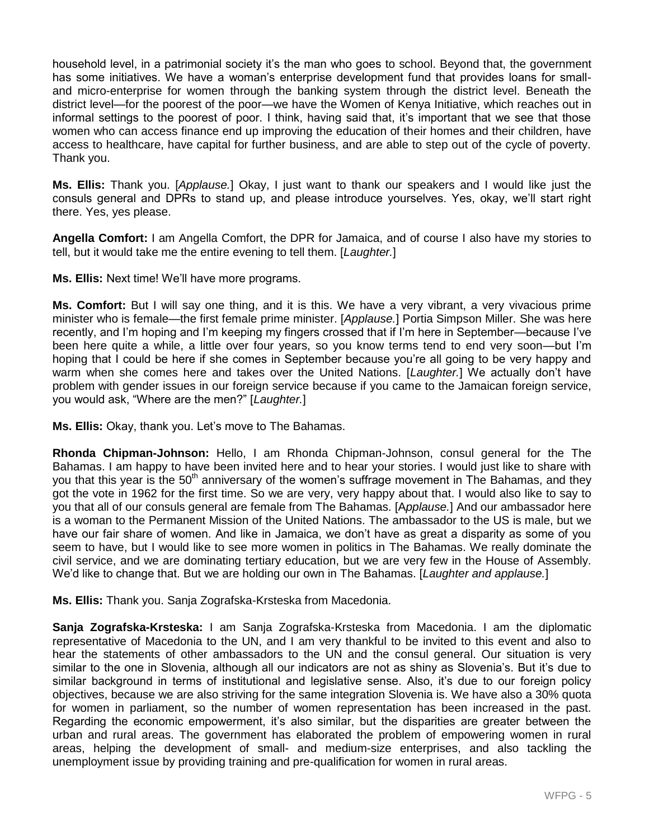household level, in a patrimonial society it's the man who goes to school. Beyond that, the government has some initiatives. We have a woman's enterprise development fund that provides loans for smalland micro-enterprise for women through the banking system through the district level. Beneath the district level—for the poorest of the poor—we have the Women of Kenya Initiative, which reaches out in informal settings to the poorest of poor. I think, having said that, it's important that we see that those women who can access finance end up improving the education of their homes and their children, have access to healthcare, have capital for further business, and are able to step out of the cycle of poverty. Thank you.

**Ms. Ellis:** Thank you. [*Applause.*] Okay, I just want to thank our speakers and I would like just the consuls general and DPRs to stand up, and please introduce yourselves. Yes, okay, we'll start right there. Yes, yes please.

**Angella Comfort:** I am Angella Comfort, the DPR for Jamaica, and of course I also have my stories to tell, but it would take me the entire evening to tell them. [*Laughter.*]

**Ms. Ellis:** Next time! We'll have more programs.

**Ms. Comfort:** But I will say one thing, and it is this. We have a very vibrant, a very vivacious prime minister who is female—the first female prime minister. [*Applause.*] Portia Simpson Miller. She was here recently, and I'm hoping and I'm keeping my fingers crossed that if I'm here in September—because I've been here quite a while, a little over four years, so you know terms tend to end very soon—but I'm hoping that I could be here if she comes in September because you're all going to be very happy and warm when she comes here and takes over the United Nations. [*Laughter.*] We actually don't have problem with gender issues in our foreign service because if you came to the Jamaican foreign service, you would ask, "Where are the men?" [*Laughter.*]

**Ms. Ellis:** Okay, thank you. Let's move to The Bahamas.

**Rhonda Chipman-Johnson:** Hello, I am Rhonda Chipman-Johnson, consul general for the The Bahamas. I am happy to have been invited here and to hear your stories. I would just like to share with you that this year is the 50<sup>th</sup> anniversary of the women's suffrage movement in The Bahamas, and they got the vote in 1962 for the first time. So we are very, very happy about that. I would also like to say to you that all of our consuls general are female from The Bahamas. [A*pplause.*] And our ambassador here is a woman to the Permanent Mission of the United Nations. The ambassador to the US is male, but we have our fair share of women. And like in Jamaica, we don't have as great a disparity as some of you seem to have, but I would like to see more women in politics in The Bahamas. We really dominate the civil service, and we are dominating tertiary education, but we are very few in the House of Assembly. We'd like to change that. But we are holding our own in The Bahamas. [*Laughter and applause.*]

**Ms. Ellis:** Thank you. Sanja Zografska-Krsteska from Macedonia.

**Sanja Zografska-Krsteska:** I am Sanja Zografska-Krsteska from Macedonia. I am the diplomatic representative of Macedonia to the UN, and I am very thankful to be invited to this event and also to hear the statements of other ambassadors to the UN and the consul general. Our situation is very similar to the one in Slovenia, although all our indicators are not as shiny as Slovenia's. But it's due to similar background in terms of institutional and legislative sense. Also, it's due to our foreign policy objectives, because we are also striving for the same integration Slovenia is. We have also a 30% quota for women in parliament, so the number of women representation has been increased in the past. Regarding the economic empowerment, it's also similar, but the disparities are greater between the urban and rural areas. The government has elaborated the problem of empowering women in rural areas, helping the development of small- and medium-size enterprises, and also tackling the unemployment issue by providing training and pre-qualification for women in rural areas.